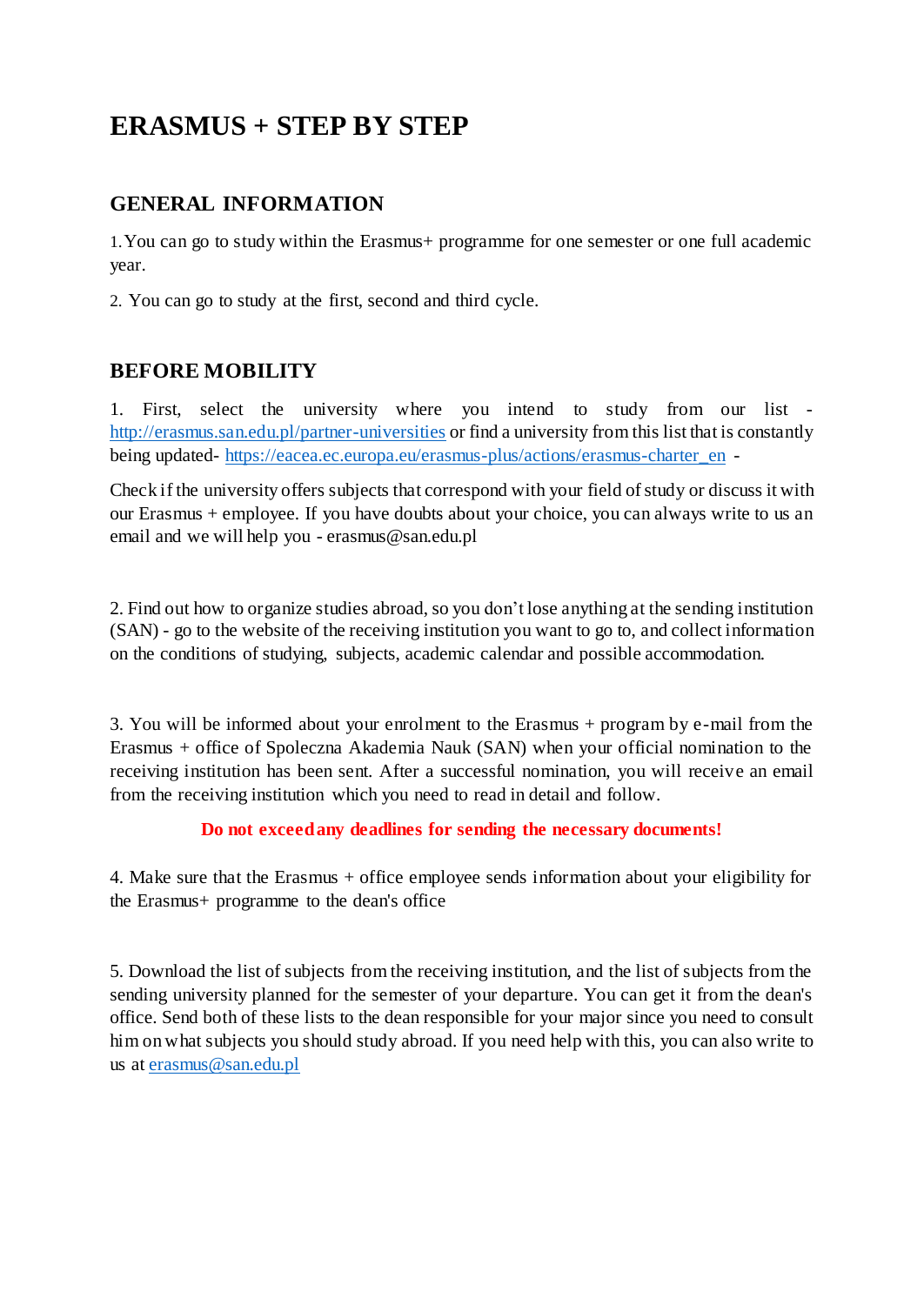# **ERASMUS + STEP BY STEP**

## **GENERAL INFORMATION**

1.You can go to study within the Erasmus+ programme for one semester or one full academic year.

2. You can go to study at the first, second and third cycle.

## **BEFORE MOBILITY**

1. First, select the university where you intend to study from our list <http://erasmus.san.edu.pl/partner-universities> or find a university from this list that is constantly being updated- [https://eacea.ec.europa.eu/erasmus-plus/actions/erasmus-charter\\_en](https://eacea.ec.europa.eu/erasmus-plus/actions/erasmus-charter_en) -

Check if the university offers subjects that correspond with your field of study or discuss it with our Erasmus + employee. If you have doubts about your choice, you can always write to us an email and we will help you - [erasmus@san.edu.pl](mailto:erasmus@san.edu.pl)

2. Find out how to organize studies abroad, so you don't lose anything at the sending institution (SAN) - go to the website of the receiving institution you want to go to, and collect information on the conditions of studying, subjects, academic calendar and possible accommodation.

3. You will be informed about your enrolment to the Erasmus + program by e-mail from the Erasmus + office of Spoleczna Akademia Nauk (SAN) when your official nomination to the receiving institution has been sent. After a successful nomination, you will receive an email from the receiving institution which you need to read in detail and follow.

#### **Do not exceedany deadlines for sending the necessary documents!**

4. Make sure that the Erasmus + office employee sends information about your eligibility for the Erasmus+ programme to the dean's office

5. Download the list of subjects from the receiving institution, and the list of subjects from the sending university planned for the semester of your departure. You can get it from the dean's office. Send both of these lists to the dean responsible for your major since you need to consult him on what subjects you should study abroad. If you need help with this, you can also write to us at [erasmus@san.edu.pl](mailto:erasmus@san.edu.pl)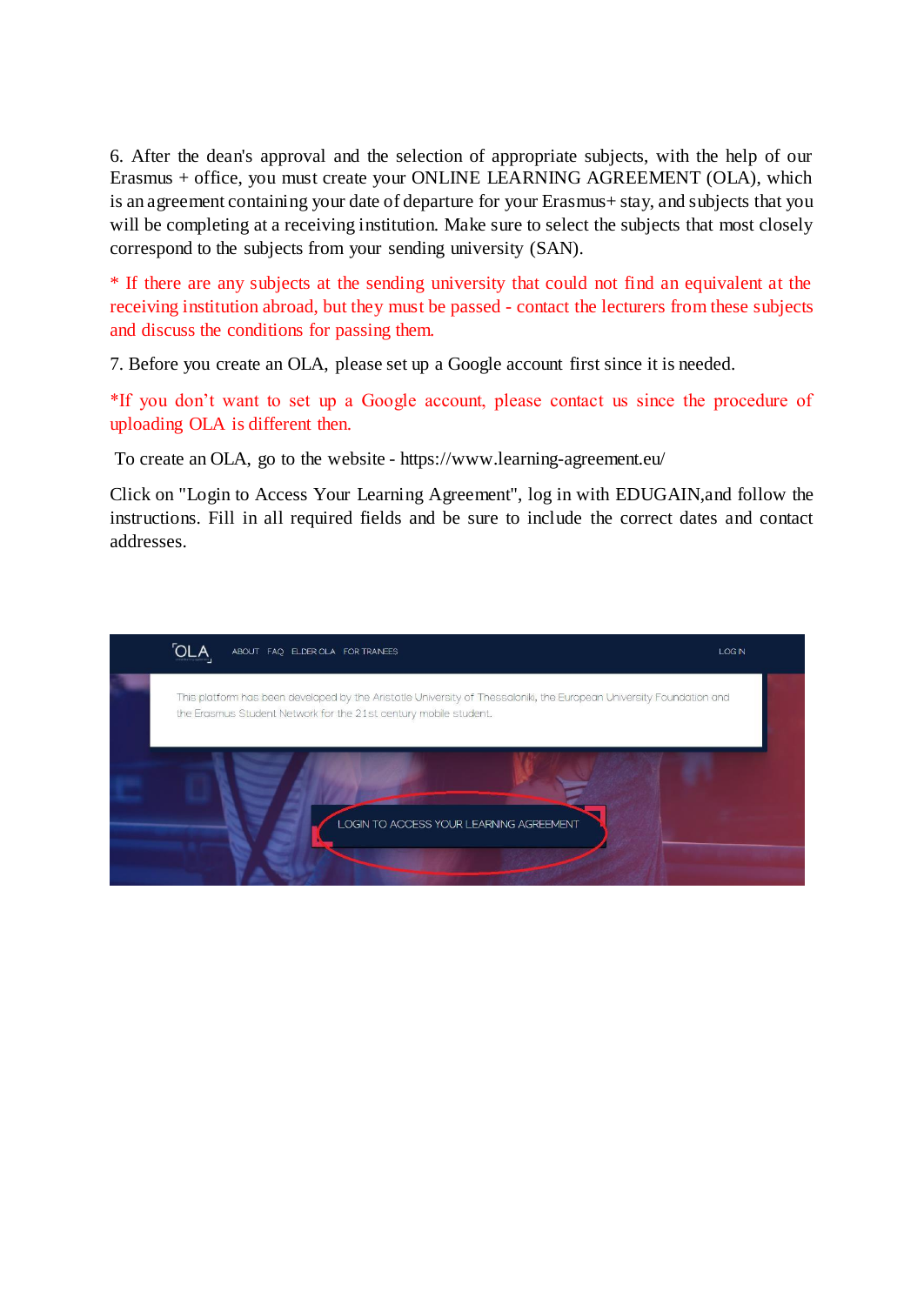6. After the dean's approval and the selection of appropriate subjects, with the help of our Erasmus + office, you must create your ONLINE LEARNING AGREEMENT (OLA), which is an agreement containing your date of departure for your Erasmus+ stay, and subjects that you will be completing at a receiving institution. Make sure to select the subjects that most closely correspond to the subjects from your sending university (SAN).

\* If there are any subjects at the sending university that could not find an equivalent at the receiving institution abroad, but they must be passed - contact the lecturers from these subjects and discuss the conditions for passing them.

7. Before you create an OLA, please set up a Google account first since it is needed.

\*If you don't want to set up a Google account, please contact us since the procedure of uploading OLA is different then.

To create an OLA, go to the website - https:[//www.learning-agreement.eu/](http://www.learning-agreement.eu/)

Click on "Login to Access Your Learning Agreement", log in with EDUGAIN,and follow the instructions. Fill in all required fields and be sure to include the correct dates and contact addresses.

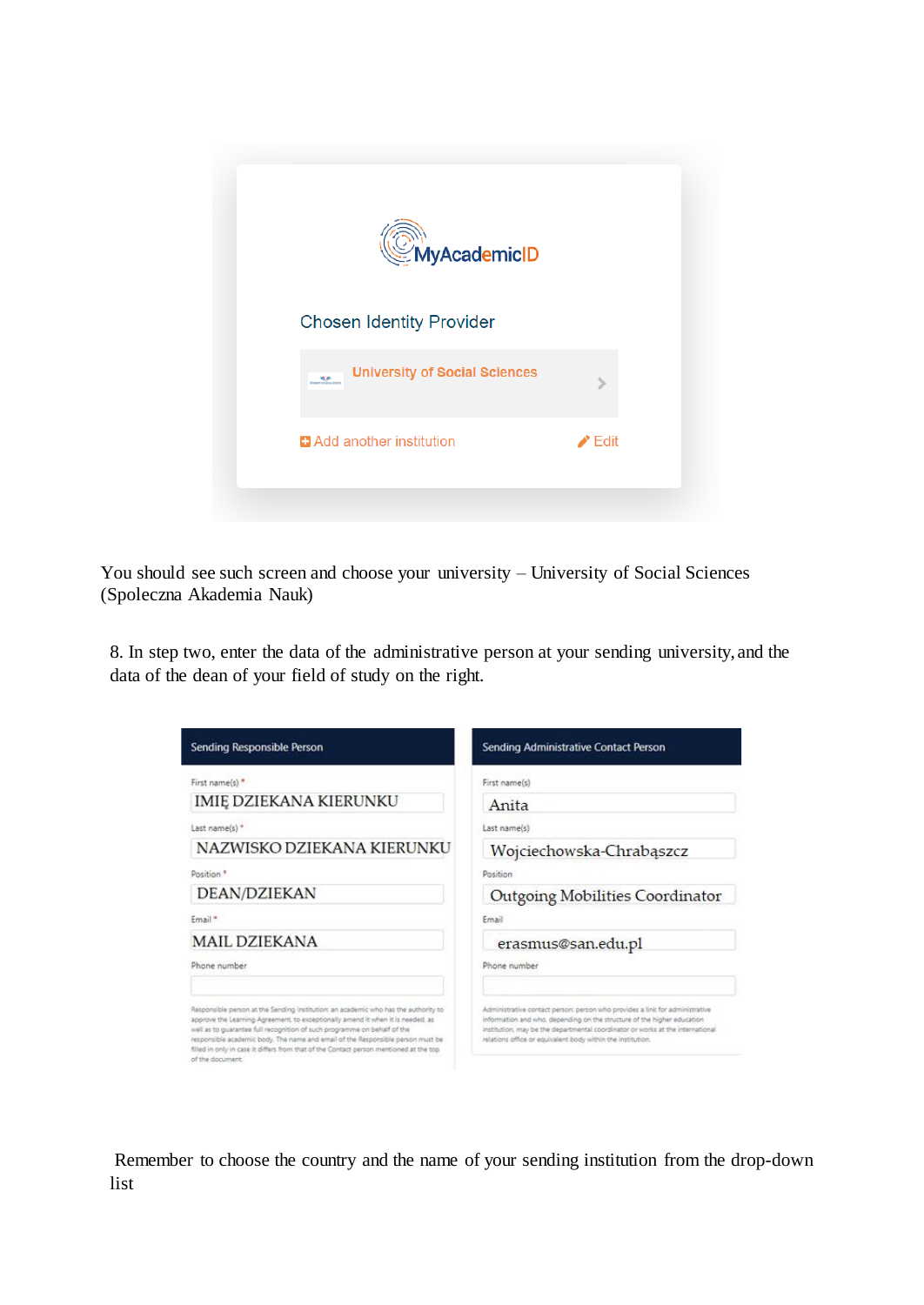

You should see such screen and choose your university – University of Social Sciences (Spoleczna Akademia Nauk)

8. In step two, enter the data of the administrative person at your sending university, and the data of the dean of your field of study on the right.

| Sending Responsible Person                                                                                                                                                                                                                                                                                                                                                                                                                          | Sending Administrative Contact Person                                                                                                                                                                                                                                                                    |
|-----------------------------------------------------------------------------------------------------------------------------------------------------------------------------------------------------------------------------------------------------------------------------------------------------------------------------------------------------------------------------------------------------------------------------------------------------|----------------------------------------------------------------------------------------------------------------------------------------------------------------------------------------------------------------------------------------------------------------------------------------------------------|
| First name(s) *                                                                                                                                                                                                                                                                                                                                                                                                                                     | First name(s)                                                                                                                                                                                                                                                                                            |
| IMIĘ DZIEKANA KIERUNKU                                                                                                                                                                                                                                                                                                                                                                                                                              | Anita                                                                                                                                                                                                                                                                                                    |
| Last name(s) *                                                                                                                                                                                                                                                                                                                                                                                                                                      | Last name(s)                                                                                                                                                                                                                                                                                             |
| NAZWISKO DZIEKANA KIERUNKU                                                                                                                                                                                                                                                                                                                                                                                                                          | Wojciechowska-Chrabąszcz                                                                                                                                                                                                                                                                                 |
| Position <sup>3</sup>                                                                                                                                                                                                                                                                                                                                                                                                                               | Position                                                                                                                                                                                                                                                                                                 |
| DEAN/DZIEKAN                                                                                                                                                                                                                                                                                                                                                                                                                                        | Outgoing Mobilities Coordinator                                                                                                                                                                                                                                                                          |
| Email*                                                                                                                                                                                                                                                                                                                                                                                                                                              | Email                                                                                                                                                                                                                                                                                                    |
| <b>MAIL DZIEKANA</b>                                                                                                                                                                                                                                                                                                                                                                                                                                | erasmus@san.edu.pl                                                                                                                                                                                                                                                                                       |
| Phone number                                                                                                                                                                                                                                                                                                                                                                                                                                        | Phone number                                                                                                                                                                                                                                                                                             |
| Responsible person at the Sending institution: an academic who has the authority to<br>approve the Learning Agreement, to exceptionally amend it when it is needed, as<br>well as to guarantee full recognition of such programme on behalf of the<br>responsible academic body. The name and email of the Responsible person must be<br>filled in only in case it differs from that of the Contact person mentioned at the top<br>of the document. | Administrative contact person: person who provides a link for administrative<br>information and who, depending on the structure of the higher education<br>institution, may be the departmental coordinator or works at the international<br>relations office or equivalent body within the institution. |

Remember to choose the country and the name of your sending institution from the drop-down list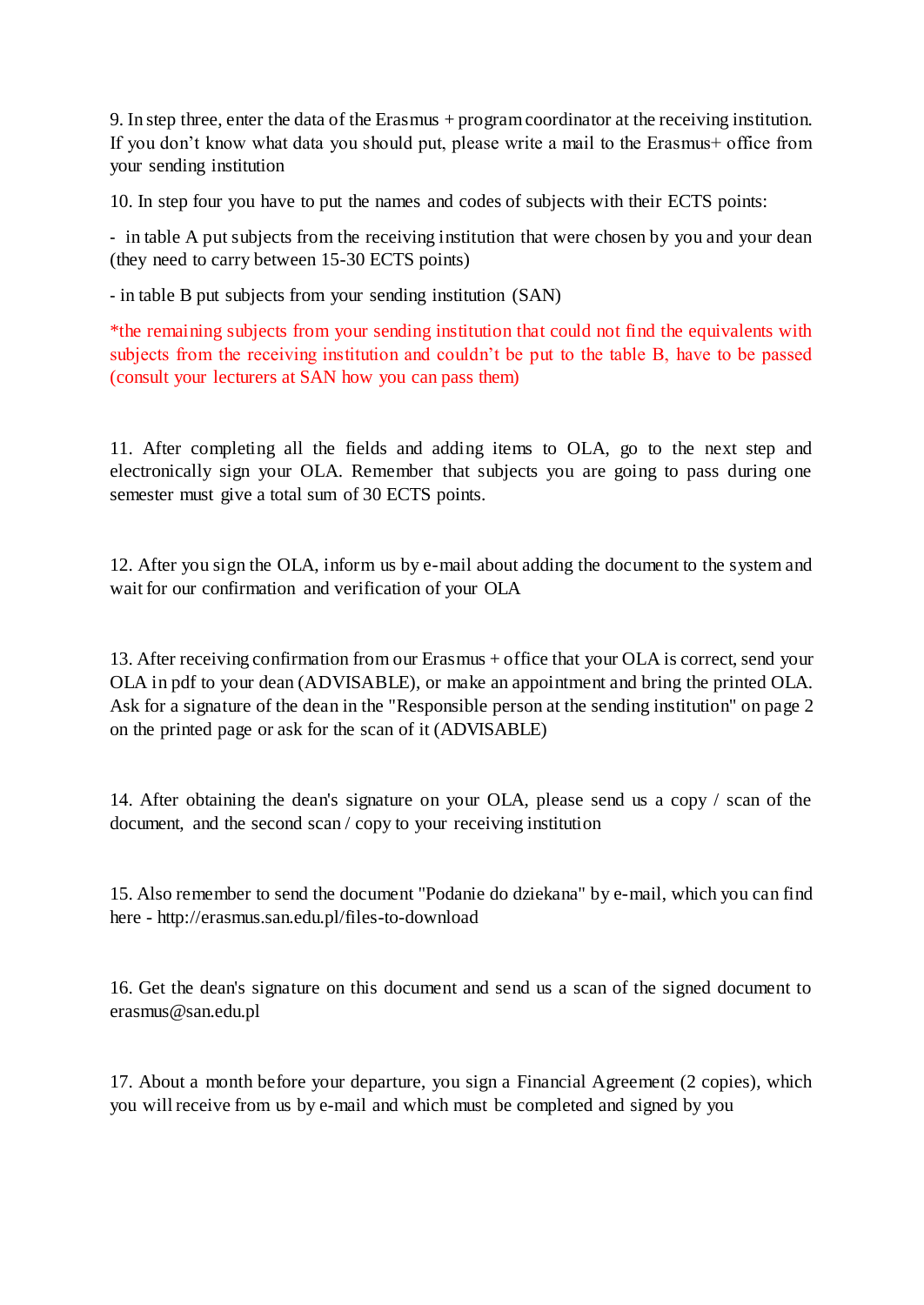9. In step three, enter the data of the Erasmus + programcoordinator at the receiving institution. If you don't know what data you should put, please write a mail to the Erasmus+ office from your sending institution

10. In step four you have to put the names and codes of subjects with their ECTS points:

- in table A put subjects from the receiving institution that were chosen by you and your dean (they need to carry between 15-30 ECTS points)

- in table B put subjects from your sending institution (SAN)

\*the remaining subjects from your sending institution that could not find the equivalents with subjects from the receiving institution and couldn't be put to the table B, have to be passed (consult your lecturers at SAN how you can pass them)

11. After completing all the fields and adding items to OLA, go to the next step and electronically sign your OLA. Remember that subjects you are going to pass during one semester must give a total sum of 30 ECTS points.

12. After you sign the OLA, inform us by e-mail about adding the document to the system and wait for our confirmation and verification of your OLA

13. After receiving confirmation from our Erasmus + office that your OLA is correct, send your OLA in pdf to your dean (ADVISABLE), or make an appointment and bring the printed OLA. Ask for a signature of the dean in the "Responsible person at the sending institution" on page 2 on the printed page or ask for the scan of it (ADVISABLE)

14. After obtaining the dean's signature on your OLA, please send us a copy / scan of the document, and the second scan / copy to your receiving institution

15. Also remember to send the document "Podanie do dziekana" by e-mail, which you can find here - <http://erasmus.san.edu.pl/files-to-download>

16. Get the dean's signature on this document and send us a scan of the signed document to [erasmus@san.edu.pl](mailto:erasmus@san.edu.pl)

17. About a month before your departure, you sign a Financial Agreement (2 copies), which you will receive from us by e-mail and which must be completed and signed by you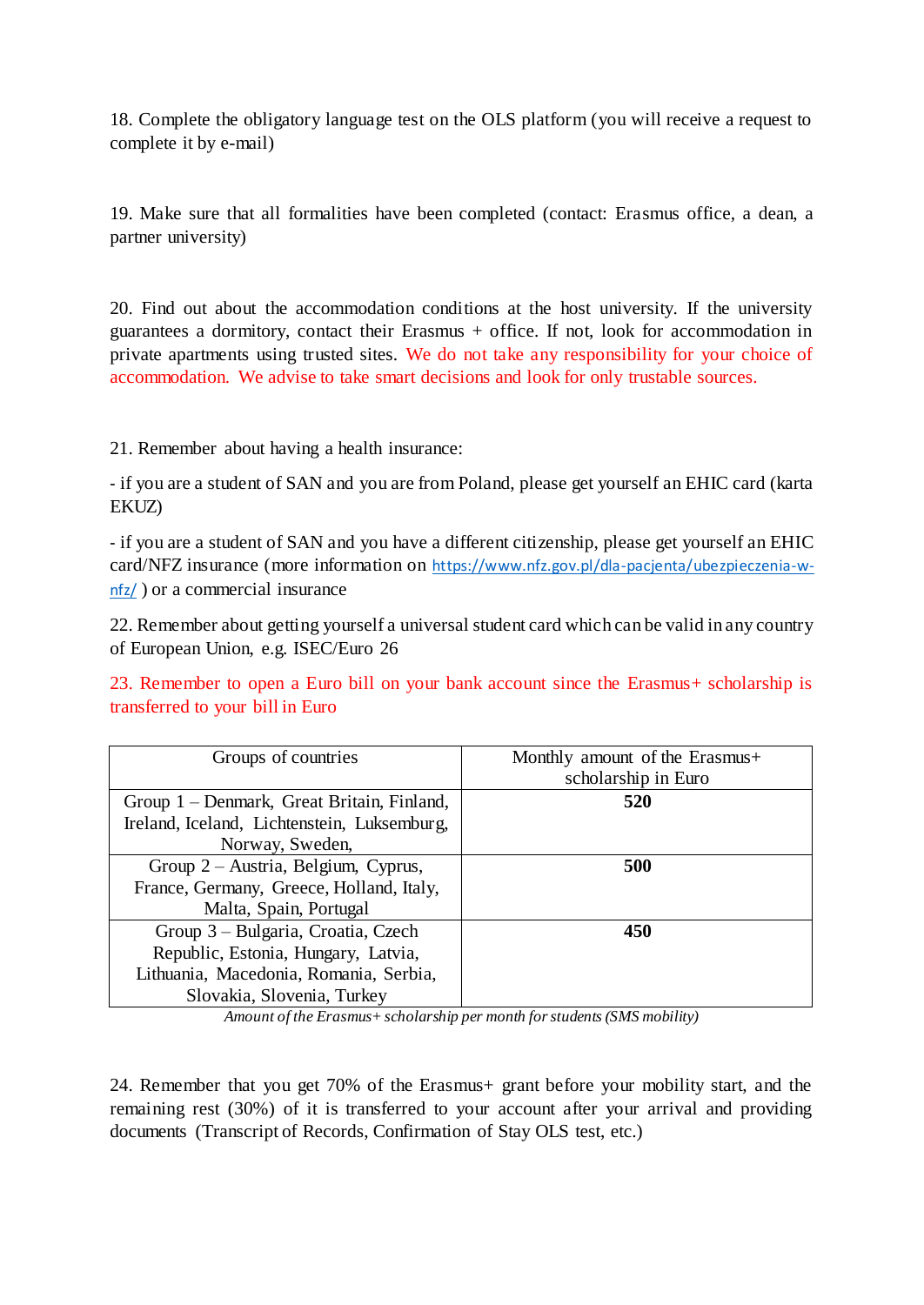18. Complete the obligatory language test on the OLS platform (you will receive a request to complete it by e-mail)

19. Make sure that all formalities have been completed (contact: Erasmus office, a dean, a partner university)

20. Find out about the accommodation conditions at the host university. If the university guarantees a dormitory, contact their Erasmus + office. If not, look for accommodation in private apartments using trusted sites. We do not take any responsibility for your choice of accommodation. We advise to take smart decisions and look for only trustable sources.

21. Remember about having a health insurance:

- if you are a student of SAN and you are from Poland, please get yourself an EHIC card (karta EKUZ)

- if you are a student of SAN and you have a different citizenship, please get yourself an EHIC card/NFZ insurance (more information on [https://www.nfz.gov.pl/dla-pacjenta/ubezpieczenia-w](https://www.nfz.gov.pl/dla-pacjenta/ubezpieczenia-w-nfz/)[nfz/](https://www.nfz.gov.pl/dla-pacjenta/ubezpieczenia-w-nfz/) ) or a commercial insurance

22. Remember about getting yourself a universal student card which can be valid in any country of European Union, e.g. ISEC/Euro 26

23. Remember to open a Euro bill on your bank account since the Erasmus+ scholarship is transferred to your bill in Euro

| Groups of countries                         | Monthly amount of the Erasmus+<br>scholarship in Euro |
|---------------------------------------------|-------------------------------------------------------|
| Group 1 – Denmark, Great Britain, Finland,  | 520                                                   |
| Ireland, Iceland, Lichtenstein, Luksemburg, |                                                       |
| Norway, Sweden,                             |                                                       |
| Group $2 -$ Austria, Belgium, Cyprus,       | 500                                                   |
| France, Germany, Greece, Holland, Italy,    |                                                       |
| Malta, Spain, Portugal                      |                                                       |
| Group 3 – Bulgaria, Croatia, Czech          | 450                                                   |
| Republic, Estonia, Hungary, Latvia,         |                                                       |
| Lithuania, Macedonia, Romania, Serbia,      |                                                       |
| Slovakia, Slovenia, Turkey                  |                                                       |

*Amount of the Erasmus+scholarship per month forstudents (SMS mobility)*

24. Remember that you get 70% of the Erasmus+ grant before your mobility start, and the remaining rest (30%) of it is transferred to your account after your arrival and providing documents (Transcript of Records, Confirmation of Stay OLS test, etc.)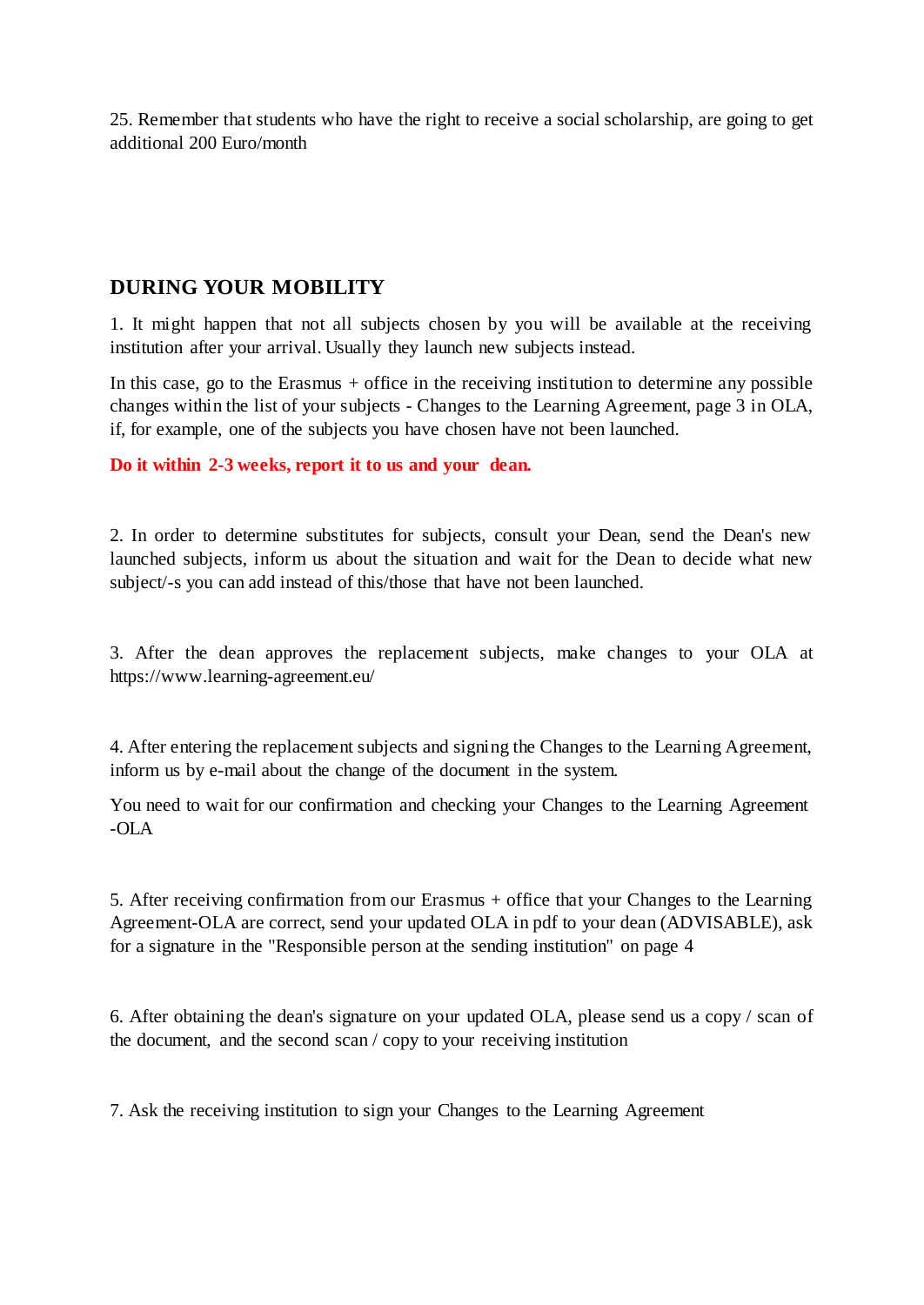25. Remember that students who have the right to receive a social scholarship, are going to get additional 200 Euro/month

### **DURING YOUR MOBILITY**

1. It might happen that not all subjects chosen by you will be available at the receiving institution after your arrival. Usually they launch new subjects instead.

In this case, go to the Erasmus  $+$  office in the receiving institution to determine any possible changes within the list of your subjects - Changes to the Learning Agreement, page 3 in OLA, if, for example, one of the subjects you have chosen have not been launched.

**Do it within 2-3 weeks, report it to us and your dean.**

2. In order to determine substitutes for subjects, consult your Dean, send the Dean's new launched subjects, inform us about the situation and wait for the Dean to decide what new subject/-s you can add instead of this/those that have not been launched.

3. After the dean approves the replacement subjects, make changes to your OLA at https:[//www.learning-agreement.eu/](http://www.learning-agreement.eu/)

4. After entering the replacement subjects and signing the Changes to the Learning Agreement, inform us by e-mail about the change of the document in the system.

You need to wait for our confirmation and checking your Changes to the Learning Agreement -OLA

5. After receiving confirmation from our Erasmus + office that your Changes to the Learning Agreement-OLA are correct, send your updated OLA in pdf to your dean (ADVISABLE), ask for a signature in the "Responsible person at the sending institution" on page 4

6. After obtaining the dean's signature on your updated OLA, please send us a copy / scan of the document, and the second scan / copy to your receiving institution

7. Ask the receiving institution to sign your Changes to the Learning Agreement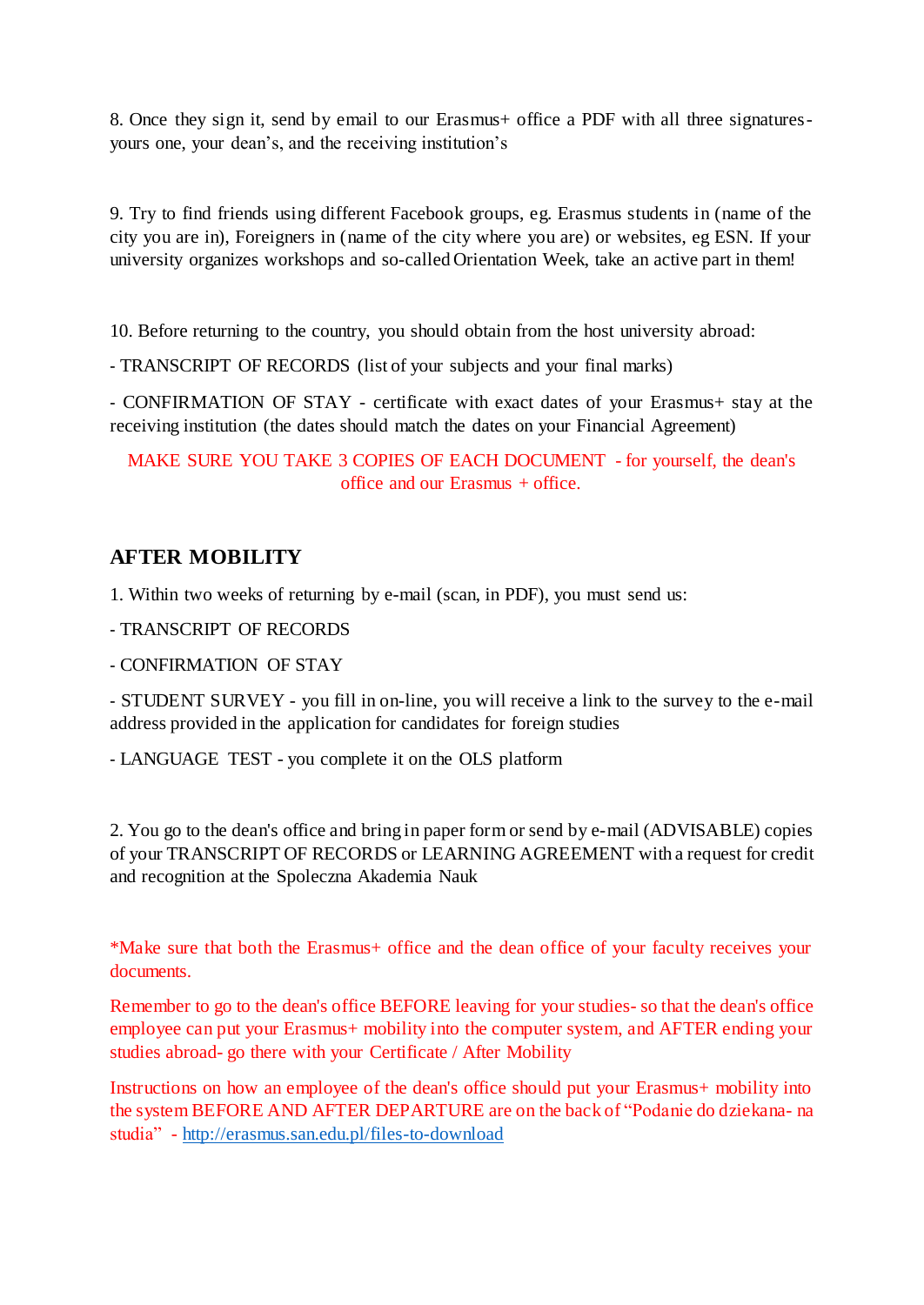8. Once they sign it, send by email to our Erasmus+ office a PDF with all three signaturesyours one, your dean's, and the receiving institution's

9. Try to find friends using different Facebook groups, eg. Erasmus students in (name of the city you are in), Foreigners in (name of the city where you are) or websites, eg ESN. If your university organizes workshops and so-called Orientation Week, take an active part in them!

10. Before returning to the country, you should obtain from the host university abroad:

- TRANSCRIPT OF RECORDS (list of your subjects and your final marks)

- CONFIRMATION OF STAY - certificate with exact dates of your Erasmus+ stay at the receiving institution (the dates should match the dates on your Financial Agreement)

MAKE SURE YOU TAKE 3 COPIES OF EACH DOCUMENT - for yourself, the dean's office and our Erasmus + office.

## **AFTER MOBILITY**

1. Within two weeks of returning by e-mail (scan, in PDF), you must send us:

- TRANSCRIPT OF RECORDS

- CONFIRMATION OF STAY

- STUDENT SURVEY - you fill in on-line, you will receive a link to the survey to the e-mail address provided in the application for candidates for foreign studies

- LANGUAGE TEST - you complete it on the OLS platform

2. You go to the dean's office and bring in paper form or send by e-mail (ADVISABLE) copies of your TRANSCRIPT OF RECORDS or LEARNING AGREEMENT with a request for credit and recognition at the Spoleczna Akademia Nauk

\*Make sure that both the Erasmus+ office and the dean office of your faculty receives your documents.

Remember to go to the dean's office BEFORE leaving for your studies- so that the dean's office employee can put your Erasmus+ mobility into the computer system, and AFTER ending your studies abroad- go there with your Certificate / After Mobility

Instructions on how an employee of the dean's office should put your Erasmus+ mobility into the system BEFORE AND AFTER DEPARTURE are on the back of "Podanie do dziekana- na studia" - <http://erasmus.san.edu.pl/files-to-download>